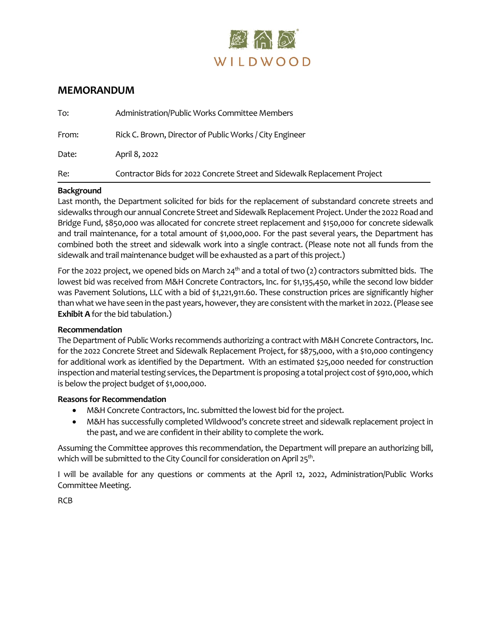

## **MEMORANDUM**

| To:   | Administration/Public Works Committee Members                             |
|-------|---------------------------------------------------------------------------|
| From: | Rick C. Brown, Director of Public Works / City Engineer                   |
| Date: | April 8, 2022                                                             |
| Re:   | Contractor Bids for 2022 Concrete Street and Sidewalk Replacement Project |

### **Background**

Last month, the Department solicited for bids for the replacement of substandard concrete streets and sidewalks through our annual Concrete Street and Sidewalk Replacement Project. Under the 2022 Road and Bridge Fund, \$850,000 was allocated for concrete street replacement and \$150,000 for concrete sidewalk and trail maintenance, for a total amount of \$1,000,000. For the past several years, the Department has combined both the street and sidewalk work into a single contract. (Please note not all funds from the sidewalk and trail maintenance budget will be exhausted as a part of this project.)

For the 2022 project, we opened bids on March 24<sup>th</sup> and a total of two (2) contractors submitted bids. The lowest bid was received from M&H Concrete Contractors, Inc. for \$1,135,450, while the second low bidder was Pavement Solutions, LLC with a bid of \$1,221,911.60. These construction prices are significantly higher than what we have seen in the past years, however, they are consistent with the marketin 2022. (Please see **Exhibit A** for the bid tabulation.)

#### **Recommendation**

The Department of Public Works recommends authorizing a contract with M&H Concrete Contractors, Inc. for the 2022 Concrete Street and Sidewalk Replacement Project, for \$875,000, with a \$10,000 contingency for additional work as identified by the Department. With an estimated \$25,000 needed for construction inspection and material testing services, the Department is proposing a total project cost of \$910,000, which is below the project budget of \$1,000,000.

#### **Reasons for Recommendation**

- M&H Concrete Contractors, Inc. submitted the lowest bid for the project.
- M&H has successfully completed Wildwood's concrete street and sidewalk replacement project in the past, and we are confident in their ability to complete the work.

Assuming the Committee approves this recommendation, the Department will prepare an authorizing bill, which will be submitted to the City Council for consideration on April 25 $^{\rm th}$ .

I will be available for any questions or comments at the April 12, 2022, Administration/Public Works Committee Meeting.

RCB